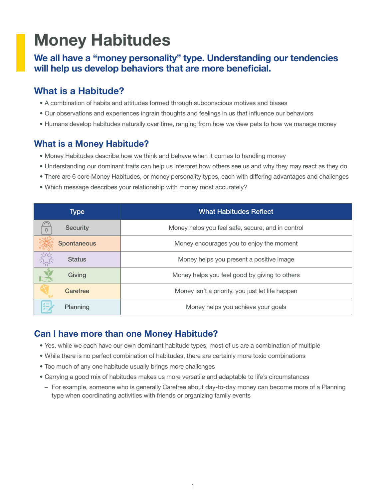# Money Habitudes

#### We all have a "money personality" type. Understanding our tendencies will help us develop behaviors that are more beneficial.

# What is a Habitude?

- A combination of habits and attitudes formed through subconscious motives and biases
- Our observations and experiences ingrain thoughts and feelings in us that influence our behaviors
- Humans develop habitudes naturally over time, ranging from how we view pets to how we manage money

#### What is a Money Habitude?

- Money Habitudes describe how we think and behave when it comes to handling money
- Understanding our dominant traits can help us interpret how others see us and why they may react as they do
- There are 6 core Money Habitudes, or money personality types, each with differing advantages and challenges
- Which message describes your relationship with money most accurately?

| Type                         | <b>What Habitudes Reflect</b>                     |
|------------------------------|---------------------------------------------------|
| <b>Security</b>              | Money helps you feel safe, secure, and in control |
| 美<br><b>Spontaneous</b>      | Money encourages you to enjoy the moment          |
| $rac{1}{2}$<br><b>Status</b> | Money helps you present a positive image          |
| $\overline{M}$<br>Giving     | Money helps you feel good by giving to others     |
| Carefree                     | Money isn't a priority, you just let life happen  |
| 医<br>Planning                | Money helps you achieve your goals                |

#### Can I have more than one Money Habitude?

- Yes, while we each have our own dominant habitude types, most of us are a combination of multiple
- While there is no perfect combination of habitudes, there are certainly more toxic combinations
- Too much of any one habitude usually brings more challenges
- Carrying a good mix of habitudes makes us more versatile and adaptable to life's circumstances
- For example, someone who is generally Carefree about day-to-day money can become more of a Planning type when coordinating activities with friends or organizing family events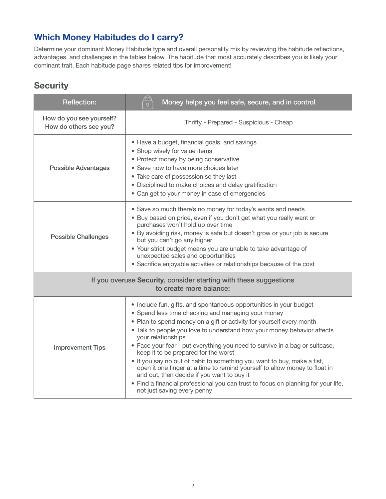# Which Money Habitudes do I carry?

Determine your dominant Money Habitude type and overall personality mix by reviewing the habitude reflections, advantages, and challenges in the tables below. The habitude that most accurately describes you is likely your dominant trait. Each habitude page shares related tips for improvement!

## **Security**

| <b>Reflection:</b>                                 | ∩<br>Money helps you feel safe, secure, and in control<br>$\Omega$                                                                                                                                                                                                                                                                                                                                                                                                                                                                                                                                                                                                                                                                                  |
|----------------------------------------------------|-----------------------------------------------------------------------------------------------------------------------------------------------------------------------------------------------------------------------------------------------------------------------------------------------------------------------------------------------------------------------------------------------------------------------------------------------------------------------------------------------------------------------------------------------------------------------------------------------------------------------------------------------------------------------------------------------------------------------------------------------------|
| How do you see yourself?<br>How do others see you? | Thrifty - Prepared - Suspicious - Cheap                                                                                                                                                                                                                                                                                                                                                                                                                                                                                                                                                                                                                                                                                                             |
| <b>Possible Advantages</b>                         | • Have a budget, financial goals, and savings<br>• Shop wisely for value items<br>• Protect money by being conservative<br>• Save now to have more choices later<br>• Take care of possession so they last<br>• Disciplined to make choices and delay gratification<br>• Can get to your money in case of emergencies                                                                                                                                                                                                                                                                                                                                                                                                                               |
| <b>Possible Challenges</b>                         | • Save so much there's no money for today's wants and needs<br>• Buy based on price, even if you don't get what you really want or<br>purchases won't hold up over time<br>• By avoiding risk, money is safe but doesn't grow or your job is secure<br>but you can't go any higher<br>• Your strict budget means you are unable to take advantage of<br>unexpected sales and opportunities<br>• Sacrifice enjoyable activities or relationships because of the cost                                                                                                                                                                                                                                                                                 |
|                                                    | If you overuse Security, consider starting with these suggestions<br>to create more balance:                                                                                                                                                                                                                                                                                                                                                                                                                                                                                                                                                                                                                                                        |
| <b>Improvement Tips</b>                            | • Include fun, gifts, and spontaneous opportunities in your budget<br>• Spend less time checking and managing your money<br>• Plan to spend money on a gift or activity for yourself every month<br>. Talk to people you love to understand how your money behavior affects<br>your relationships<br>• Face your fear - put everything you need to survive in a bag or suitcase,<br>keep it to be prepared for the worst<br>• If you say no out of habit to something you want to buy, make a fist,<br>open it one finger at a time to remind yourself to allow money to float in<br>and out, then decide if you want to buy it<br>• Find a financial professional you can trust to focus on planning for your life,<br>not just saving every penny |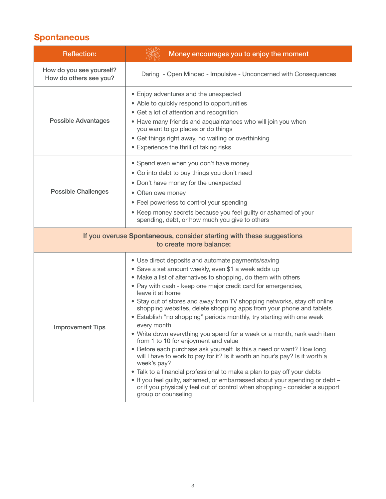# **Spontaneous**

| <b>Reflection:</b>                                 | Money encourages you to enjoy the moment                                                                                                                                                                                                                                                                                                                                                                                                                                                                                                                                                                                                                                                                                                                                                                                                                                                                                                                                                                                                                              |
|----------------------------------------------------|-----------------------------------------------------------------------------------------------------------------------------------------------------------------------------------------------------------------------------------------------------------------------------------------------------------------------------------------------------------------------------------------------------------------------------------------------------------------------------------------------------------------------------------------------------------------------------------------------------------------------------------------------------------------------------------------------------------------------------------------------------------------------------------------------------------------------------------------------------------------------------------------------------------------------------------------------------------------------------------------------------------------------------------------------------------------------|
| How do you see yourself?<br>How do others see you? | Daring - Open Minded - Impulsive - Unconcerned with Consequences                                                                                                                                                                                                                                                                                                                                                                                                                                                                                                                                                                                                                                                                                                                                                                                                                                                                                                                                                                                                      |
| <b>Possible Advantages</b>                         | • Enjoy adventures and the unexpected<br>• Able to quickly respond to opportunities<br>• Get a lot of attention and recognition<br>• Have many friends and acquaintances who will join you when<br>you want to go places or do things<br>• Get things right away, no waiting or overthinking<br>• Experience the thrill of taking risks                                                                                                                                                                                                                                                                                                                                                                                                                                                                                                                                                                                                                                                                                                                               |
| <b>Possible Challenges</b>                         | • Spend even when you don't have money<br>• Go into debt to buy things you don't need<br>• Don't have money for the unexpected<br>• Often owe money<br>• Feel powerless to control your spending<br>• Keep money secrets because you feel guilty or ashamed of your<br>spending, debt, or how much you give to others                                                                                                                                                                                                                                                                                                                                                                                                                                                                                                                                                                                                                                                                                                                                                 |
|                                                    | If you overuse Spontaneous, consider starting with these suggestions<br>to create more balance:                                                                                                                                                                                                                                                                                                                                                                                                                                                                                                                                                                                                                                                                                                                                                                                                                                                                                                                                                                       |
| <b>Improvement Tips</b>                            | • Use direct deposits and automate payments/saving<br>· Save a set amount weekly, even \$1 a week adds up<br>• Make a list of alternatives to shopping, do them with others<br>• Pay with cash - keep one major credit card for emergencies,<br>leave it at home<br>• Stay out of stores and away from TV shopping networks, stay off online<br>shopping websites, delete shopping apps from your phone and tablets<br>• Establish "no shopping" periods monthly, try starting with one week<br>every month<br>• Write down everything you spend for a week or a month, rank each item<br>from 1 to 10 for enjoyment and value<br>• Before each purchase ask yourself: Is this a need or want? How long<br>will I have to work to pay for it? Is it worth an hour's pay? Is it worth a<br>week's pay?<br>. Talk to a financial professional to make a plan to pay off your debts<br>• If you feel guilty, ashamed, or embarrassed about your spending or debt -<br>or if you physically feel out of control when shopping - consider a support<br>group or counseling |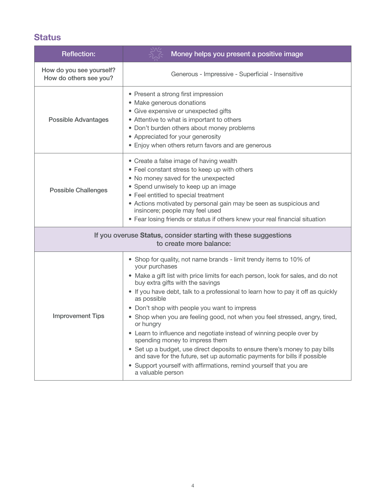# **Status**

| <b>Reflection:</b>                                 | Money helps you present a positive image                                                                                                                                                                                                                                                                                                                                                                                                                                                                                                                                                                                                                                                                                                                                                                                    |
|----------------------------------------------------|-----------------------------------------------------------------------------------------------------------------------------------------------------------------------------------------------------------------------------------------------------------------------------------------------------------------------------------------------------------------------------------------------------------------------------------------------------------------------------------------------------------------------------------------------------------------------------------------------------------------------------------------------------------------------------------------------------------------------------------------------------------------------------------------------------------------------------|
| How do you see yourself?<br>How do others see you? | Generous - Impressive - Superficial - Insensitive                                                                                                                                                                                                                                                                                                                                                                                                                                                                                                                                                                                                                                                                                                                                                                           |
| <b>Possible Advantages</b>                         | • Present a strong first impression<br>• Make generous donations<br>• Give expensive or unexpected gifts<br>• Attentive to what is important to others<br>• Don't burden others about money problems<br>• Appreciated for your generosity<br>• Enjoy when others return favors and are generous                                                                                                                                                                                                                                                                                                                                                                                                                                                                                                                             |
| <b>Possible Challenges</b>                         | • Create a false image of having wealth<br>• Feel constant stress to keep up with others<br>. No money saved for the unexpected<br>• Spend unwisely to keep up an image<br>• Feel entitled to special treatment<br>• Actions motivated by personal gain may be seen as suspicious and<br>insincere; people may feel used<br>• Fear losing friends or status if others knew your real financial situation                                                                                                                                                                                                                                                                                                                                                                                                                    |
|                                                    | If you overuse Status, consider starting with these suggestions<br>to create more balance:                                                                                                                                                                                                                                                                                                                                                                                                                                                                                                                                                                                                                                                                                                                                  |
| <b>Improvement Tips</b>                            | • Shop for quality, not name brands - limit trendy items to 10% of<br>your purchases<br>• Make a gift list with price limits for each person, look for sales, and do not<br>buy extra gifts with the savings<br>• If you have debt, talk to a professional to learn how to pay it off as quickly<br>as possible<br>• Don't shop with people you want to impress<br>• Shop when you are feeling good, not when you feel stressed, angry, tired,<br>or hungry<br>• Learn to influence and negotiate instead of winning people over by<br>spending money to impress them<br>• Set up a budget, use direct deposits to ensure there's money to pay bills<br>and save for the future, set up automatic payments for bills if possible<br>• Support yourself with affirmations, remind yourself that you are<br>a valuable person |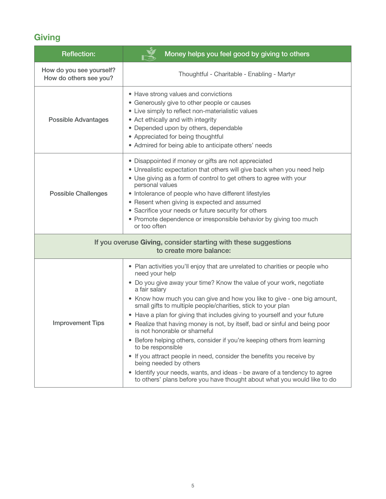# **Giving**

| <b>Reflection:</b>                                 | Money helps you feel good by giving to others                                                                                                                                                                                                                                                                                                                                                                                                                                                                                                                                                                                                                                                                                                                                                                                                                                               |
|----------------------------------------------------|---------------------------------------------------------------------------------------------------------------------------------------------------------------------------------------------------------------------------------------------------------------------------------------------------------------------------------------------------------------------------------------------------------------------------------------------------------------------------------------------------------------------------------------------------------------------------------------------------------------------------------------------------------------------------------------------------------------------------------------------------------------------------------------------------------------------------------------------------------------------------------------------|
| How do you see yourself?<br>How do others see you? | Thoughtful - Charitable - Enabling - Martyr                                                                                                                                                                                                                                                                                                                                                                                                                                                                                                                                                                                                                                                                                                                                                                                                                                                 |
| <b>Possible Advantages</b>                         | • Have strong values and convictions<br>• Generously give to other people or causes<br>• Live simply to reflect non-materialistic values<br>• Act ethically and with integrity<br>• Depended upon by others, dependable<br>• Appreciated for being thoughtful<br>• Admired for being able to anticipate others' needs                                                                                                                                                                                                                                                                                                                                                                                                                                                                                                                                                                       |
| <b>Possible Challenges</b>                         | • Disappointed if money or gifts are not appreciated<br>• Unrealistic expectation that others will give back when you need help<br>• Use giving as a form of control to get others to agree with your<br>personal values<br>• Intolerance of people who have different lifestyles<br>• Resent when giving is expected and assumed<br>• Sacrifice your needs or future security for others<br>• Promote dependence or irresponsible behavior by giving too much<br>or too often                                                                                                                                                                                                                                                                                                                                                                                                              |
|                                                    | If you overuse Giving, consider starting with these suggestions<br>to create more balance:                                                                                                                                                                                                                                                                                                                                                                                                                                                                                                                                                                                                                                                                                                                                                                                                  |
| <b>Improvement Tips</b>                            | • Plan activities you'll enjoy that are unrelated to charities or people who<br>need your help<br>• Do you give away your time? Know the value of your work, negotiate<br>a fair salary<br>• Know how much you can give and how you like to give - one big amount,<br>small gifts to multiple people/charities, stick to your plan<br>• Have a plan for giving that includes giving to yourself and your future<br>• Realize that having money is not, by itself, bad or sinful and being poor<br>is not honorable or shameful<br>• Before helping others, consider if you're keeping others from learning<br>to be responsible<br>• If you attract people in need, consider the benefits you receive by<br>being needed by others<br>• Identify your needs, wants, and ideas - be aware of a tendency to agree<br>to others' plans before you have thought about what you would like to do |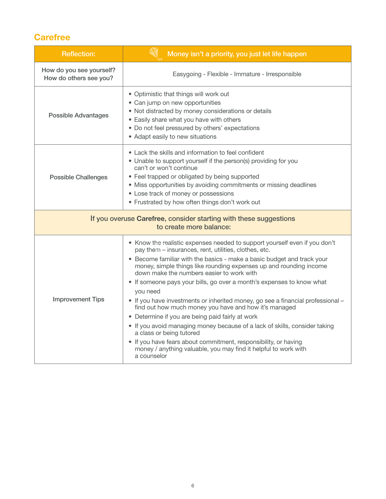# **Carefree**

| <b>Reflection:</b>                                 | Money isn't a priority, you just let life happen                                                                                                                                                                                                                                                                                                                                                                                                                                                                                                                                                                                                                                                                                                                                                                                                                                     |
|----------------------------------------------------|--------------------------------------------------------------------------------------------------------------------------------------------------------------------------------------------------------------------------------------------------------------------------------------------------------------------------------------------------------------------------------------------------------------------------------------------------------------------------------------------------------------------------------------------------------------------------------------------------------------------------------------------------------------------------------------------------------------------------------------------------------------------------------------------------------------------------------------------------------------------------------------|
| How do you see yourself?<br>How do others see you? | Easygoing - Flexible - Immature - Irresponsible                                                                                                                                                                                                                                                                                                                                                                                                                                                                                                                                                                                                                                                                                                                                                                                                                                      |
| <b>Possible Advantages</b>                         | • Optimistic that things will work out<br>• Can jump on new opportunities<br>• Not distracted by money considerations or details<br>• Easily share what you have with others<br>• Do not feel pressured by others' expectations<br>• Adapt easily to new situations                                                                                                                                                                                                                                                                                                                                                                                                                                                                                                                                                                                                                  |
| <b>Possible Challenges</b>                         | • Lack the skills and information to feel confident<br>• Unable to support yourself if the person(s) providing for you<br>can't or won't continue<br>• Feel trapped or obligated by being supported<br>• Miss opportunities by avoiding commitments or missing deadlines<br>• Lose track of money or possessions<br>• Frustrated by how often things don't work out                                                                                                                                                                                                                                                                                                                                                                                                                                                                                                                  |
|                                                    | If you overuse Carefree, consider starting with these suggestions<br>to create more balance:                                                                                                                                                                                                                                                                                                                                                                                                                                                                                                                                                                                                                                                                                                                                                                                         |
| <b>Improvement Tips</b>                            | • Know the realistic expenses needed to support yourself even if you don't<br>pay them - insurances, rent, utilities, clothes, etc.<br>• Become familiar with the basics - make a basic budget and track your<br>money, simple things like rounding expenses up and rounding income<br>down make the numbers easier to work with<br>• If someone pays your bills, go over a month's expenses to know what<br>you need<br>• If you have investments or inherited money, go see a financial professional -<br>find out how much money you have and how it's managed<br>• Determine if you are being paid fairly at work<br>• If you avoid managing money because of a lack of skills, consider taking<br>a class or being tutored<br>• If you have fears about commitment, responsibility, or having<br>money / anything valuable, you may find it helpful to work with<br>a counselor |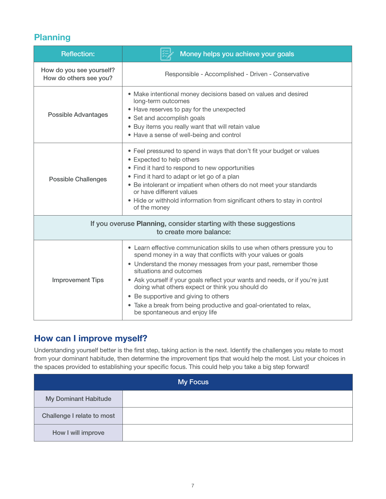## Planning

| <b>Reflection:</b>                                 | Money helps you achieve your goals                                                                                                                                                                                                                                                                                                                                                                                                                                                                                        |
|----------------------------------------------------|---------------------------------------------------------------------------------------------------------------------------------------------------------------------------------------------------------------------------------------------------------------------------------------------------------------------------------------------------------------------------------------------------------------------------------------------------------------------------------------------------------------------------|
| How do you see yourself?<br>How do others see you? | Responsible - Accomplished - Driven - Conservative                                                                                                                                                                                                                                                                                                                                                                                                                                                                        |
| <b>Possible Advantages</b>                         | • Make intentional money decisions based on values and desired<br>long-term outcomes<br>• Have reserves to pay for the unexpected<br>• Set and accomplish goals<br>• Buy items you really want that will retain value<br>• Have a sense of well-being and control                                                                                                                                                                                                                                                         |
| <b>Possible Challenges</b>                         | • Feel pressured to spend in ways that don't fit your budget or values<br>• Expected to help others<br>• Find it hard to respond to new opportunities<br>• Find it hard to adapt or let go of a plan<br>• Be intolerant or impatient when others do not meet your standards<br>or have different values<br>• Hide or withhold information from significant others to stay in control<br>of the money                                                                                                                      |
|                                                    | If you overuse Planning, consider starting with these suggestions<br>to create more balance:                                                                                                                                                                                                                                                                                                                                                                                                                              |
| <b>Improvement Tips</b>                            | • Learn effective communication skills to use when others pressure you to<br>spend money in a way that conflicts with your values or goals<br>• Understand the money messages from your past, remember those<br>situations and outcomes<br>• Ask yourself if your goals reflect your wants and needs, or if you're just<br>doing what others expect or think you should do<br>• Be supportive and giving to others<br>• Take a break from being productive and goal-orientated to relax,<br>be spontaneous and enjoy life |

## How can I improve myself?

Understanding yourself better is the first step, taking action is the next. Identify the challenges you relate to most from your dominant habitude, then determine the improvement tips that would help the most. List your choices in the spaces provided to establishing your specific focus. This could help you take a big step forward!

|                             | My Focus |
|-----------------------------|----------|
| <b>My Dominant Habitude</b> |          |
| Challenge I relate to most  |          |
| How I will improve          |          |